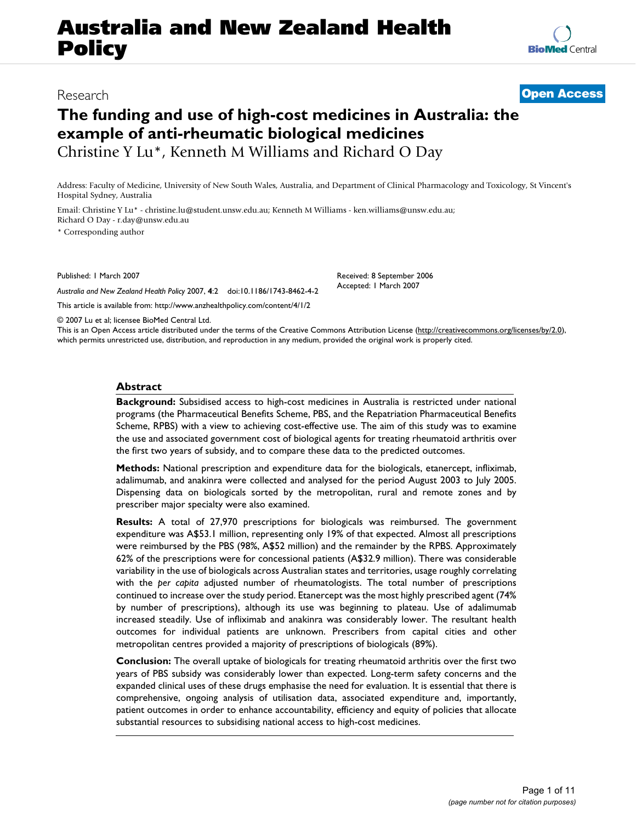# **Australia and New Zealand Health Policy**

## **The funding and use of high-cost medicines in Australia: the example of anti-rheumatic biological medicines** Christine Y Lu\*, Kenneth M Williams and Richard O Day

Address: Faculty of Medicine, University of New South Wales, Australia, and Department of Clinical Pharmacology and Toxicology, St Vincent's Hospital Sydney, Australia

Email: Christine Y Lu\* - christine.lu@student.unsw.edu.au; Kenneth M Williams - ken.williams@unsw.edu.au; Richard O Day - r.day@unsw.edu.au

\* Corresponding author

Published: 1 March 2007

*Australia and New Zealand Health Policy* 2007, **4**:2 doi:10.1186/1743-8462-4-2

[This article is available from: http://www.anzhealthpolicy.com/content/4/1/2](http://www.anzhealthpolicy.com/content/4/1/2)

© 2007 Lu et al; licensee BioMed Central Ltd.

This is an Open Access article distributed under the terms of the Creative Commons Attribution License [\(http://creativecommons.org/licenses/by/2.0\)](http://creativecommons.org/licenses/by/2.0), which permits unrestricted use, distribution, and reproduction in any medium, provided the original work is properly cited.

#### **Abstract**

**Background:** Subsidised access to high-cost medicines in Australia is restricted under national programs (the Pharmaceutical Benefits Scheme, PBS, and the Repatriation Pharmaceutical Benefits Scheme, RPBS) with a view to achieving cost-effective use. The aim of this study was to examine the use and associated government cost of biological agents for treating rheumatoid arthritis over the first two years of subsidy, and to compare these data to the predicted outcomes.

**Methods:** National prescription and expenditure data for the biologicals, etanercept, infliximab, adalimumab, and anakinra were collected and analysed for the period August 2003 to July 2005. Dispensing data on biologicals sorted by the metropolitan, rural and remote zones and by prescriber major specialty were also examined.

**Results:** A total of 27,970 prescriptions for biologicals was reimbursed. The government expenditure was A\$53.1 million, representing only 19% of that expected. Almost all prescriptions were reimbursed by the PBS (98%, A\$52 million) and the remainder by the RPBS. Approximately 62% of the prescriptions were for concessional patients (A\$32.9 million). There was considerable variability in the use of biologicals across Australian states and territories, usage roughly correlating with the *per capita* adjusted number of rheumatologists. The total number of prescriptions continued to increase over the study period. Etanercept was the most highly prescribed agent (74% by number of prescriptions), although its use was beginning to plateau. Use of adalimumab increased steadily. Use of infliximab and anakinra was considerably lower. The resultant health outcomes for individual patients are unknown. Prescribers from capital cities and other metropolitan centres provided a majority of prescriptions of biologicals (89%).

**Conclusion:** The overall uptake of biologicals for treating rheumatoid arthritis over the first two years of PBS subsidy was considerably lower than expected. Long-term safety concerns and the expanded clinical uses of these drugs emphasise the need for evaluation. It is essential that there is comprehensive, ongoing analysis of utilisation data, associated expenditure and, importantly, patient outcomes in order to enhance accountability, efficiency and equity of policies that allocate substantial resources to subsidising national access to high-cost medicines.

Received: 8 September 2006 Accepted: 1 March 2007

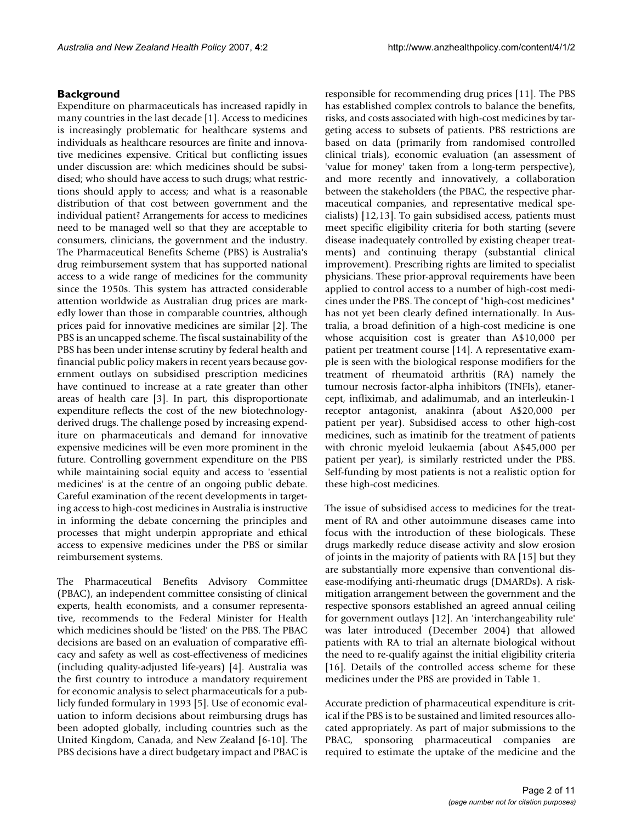#### **Background**

Expenditure on pharmaceuticals has increased rapidly in many countries in the last decade [1]. Access to medicines is increasingly problematic for healthcare systems and individuals as healthcare resources are finite and innovative medicines expensive. Critical but conflicting issues under discussion are: which medicines should be subsidised; who should have access to such drugs; what restrictions should apply to access; and what is a reasonable distribution of that cost between government and the individual patient? Arrangements for access to medicines need to be managed well so that they are acceptable to consumers, clinicians, the government and the industry. The Pharmaceutical Benefits Scheme (PBS) is Australia's drug reimbursement system that has supported national access to a wide range of medicines for the community since the 1950s. This system has attracted considerable attention worldwide as Australian drug prices are markedly lower than those in comparable countries, although prices paid for innovative medicines are similar [2]. The PBS is an uncapped scheme. The fiscal sustainability of the PBS has been under intense scrutiny by federal health and financial public policy makers in recent years because government outlays on subsidised prescription medicines have continued to increase at a rate greater than other areas of health care [3]. In part, this disproportionate expenditure reflects the cost of the new biotechnologyderived drugs. The challenge posed by increasing expenditure on pharmaceuticals and demand for innovative expensive medicines will be even more prominent in the future. Controlling government expenditure on the PBS while maintaining social equity and access to 'essential medicines' is at the centre of an ongoing public debate. Careful examination of the recent developments in targeting access to high-cost medicines in Australia is instructive in informing the debate concerning the principles and processes that might underpin appropriate and ethical access to expensive medicines under the PBS or similar reimbursement systems.

The Pharmaceutical Benefits Advisory Committee (PBAC), an independent committee consisting of clinical experts, health economists, and a consumer representative, recommends to the Federal Minister for Health which medicines should be 'listed' on the PBS. The PBAC decisions are based on an evaluation of comparative efficacy and safety as well as cost-effectiveness of medicines (including quality-adjusted life-years) [4]. Australia was the first country to introduce a mandatory requirement for economic analysis to select pharmaceuticals for a publicly funded formulary in 1993 [5]. Use of economic evaluation to inform decisions about reimbursing drugs has been adopted globally, including countries such as the United Kingdom, Canada, and New Zealand [6-10]. The PBS decisions have a direct budgetary impact and PBAC is responsible for recommending drug prices [11]. The PBS has established complex controls to balance the benefits, risks, and costs associated with high-cost medicines by targeting access to subsets of patients. PBS restrictions are based on data (primarily from randomised controlled clinical trials), economic evaluation (an assessment of 'value for money' taken from a long-term perspective), and more recently and innovatively, a collaboration between the stakeholders (the PBAC, the respective pharmaceutical companies, and representative medical specialists) [12,13]. To gain subsidised access, patients must meet specific eligibility criteria for both starting (severe disease inadequately controlled by existing cheaper treatments) and continuing therapy (substantial clinical improvement). Prescribing rights are limited to specialist physicians. These prior-approval requirements have been applied to control access to a number of high-cost medicines under the PBS. The concept of "high-cost medicines" has not yet been clearly defined internationally. In Australia, a broad definition of a high-cost medicine is one whose acquisition cost is greater than A\$10,000 per patient per treatment course [14]. A representative example is seen with the biological response modifiers for the treatment of rheumatoid arthritis (RA) namely the tumour necrosis factor-alpha inhibitors (TNFIs), etanercept, infliximab, and adalimumab, and an interleukin-1 receptor antagonist, anakinra (about A\$20,000 per patient per year). Subsidised access to other high-cost medicines, such as imatinib for the treatment of patients with chronic myeloid leukaemia (about A\$45,000 per patient per year), is similarly restricted under the PBS. Self-funding by most patients is not a realistic option for these high-cost medicines.

The issue of subsidised access to medicines for the treatment of RA and other autoimmune diseases came into focus with the introduction of these biologicals. These drugs markedly reduce disease activity and slow erosion of joints in the majority of patients with RA [15] but they are substantially more expensive than conventional disease-modifying anti-rheumatic drugs (DMARDs). A riskmitigation arrangement between the government and the respective sponsors established an agreed annual ceiling for government outlays [12]. An 'interchangeability rule' was later introduced (December 2004) that allowed patients with RA to trial an alternate biological without the need to re-qualify against the initial eligibility criteria [16]. Details of the controlled access scheme for these medicines under the PBS are provided in Table 1.

Accurate prediction of pharmaceutical expenditure is critical if the PBS is to be sustained and limited resources allocated appropriately. As part of major submissions to the PBAC, sponsoring pharmaceutical companies are required to estimate the uptake of the medicine and the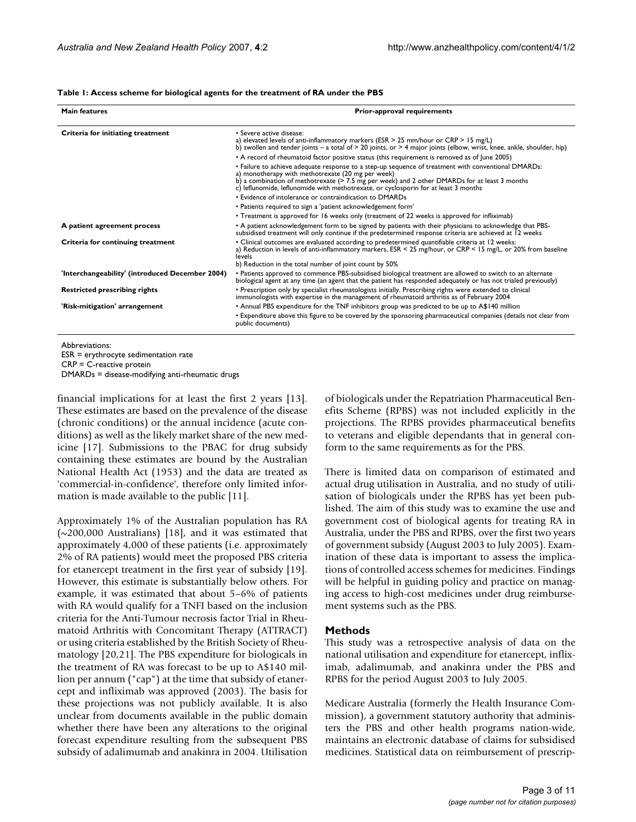#### **Table 1: Access scheme for biological agents for the treatment of RA under the PBS**

| <b>Main features</b>                            | <b>Prior-approval requirements</b>                                                                                                                                                                                                                                                                                                               |  |  |  |  |
|-------------------------------------------------|--------------------------------------------------------------------------------------------------------------------------------------------------------------------------------------------------------------------------------------------------------------------------------------------------------------------------------------------------|--|--|--|--|
| Criteria for initiating treatment               | • Severe active disease:<br>a) elevated levels of anti-inflammatory markers (ESR > 25 mm/hour or CRP > 15 mg/L)<br>b) swollen and tender joints – a total of $> 20$ joints, or $> 4$ major joints (elbow, wrist, knee, ankle, shoulder, hip)<br>• A record of rheumatoid factor positive status (this requirement is removed as of June 2005)    |  |  |  |  |
|                                                 | • Failure to achieve adequate response to a step-up sequence of treatment with conventional DMARDs:<br>a) monotherapy with methotrexate (20 mg per week)<br>b) a combination of methotrexate (> 7.5 mg per week) and 2 other DMARDs for at least 3 months<br>c) leflunomide, leflunomide with methotrexate, or cyclosporin for at least 3 months |  |  |  |  |
|                                                 | • Evidence of intolerance or contraindication to DMARDs                                                                                                                                                                                                                                                                                          |  |  |  |  |
|                                                 | • Patients required to sign a 'patient acknowledgement form'                                                                                                                                                                                                                                                                                     |  |  |  |  |
|                                                 | • Treatment is approved for 16 weeks only (treatment of 22 weeks is approved for infliximab)                                                                                                                                                                                                                                                     |  |  |  |  |
| A patient agreement process                     | . A patient acknowledgement form to be signed by patients with their physicians to acknowledge that PBS-<br>subsidised treatment will only continue if the predetermined response criteria are achieved at 12 weeks                                                                                                                              |  |  |  |  |
| Criteria for continuing treatment               | · Clinical outcomes are evaluated according to predetermined quantifiable criteria at 12 weeks:<br>a) Reduction in levels of anti-inflammatory markers, ESR < 25 mg/hour, or CRP < 15 mg/L, or 20% from baseline<br>levels<br>b) Reduction in the total number of joint count by 50%                                                             |  |  |  |  |
| 'Interchangeability' (introduced December 2004) | • Patients approved to commence PBS-subsidised biological treatment are allowed to switch to an alternate<br>biological agent at any time (an agent that the patient has responded adequately or has not trialed previously)                                                                                                                     |  |  |  |  |
| <b>Restricted prescribing rights</b>            | • Prescription only by specialist rheumatologists initially. Prescribing rights were extended to clinical<br>immunologists with expertise in the management of rheumatoid arthritis as of February 2004                                                                                                                                          |  |  |  |  |
| 'Risk-mitigation' arrangement                   | • Annual PBS expenditure for the TNF inhibitors group was predicted to be up to A\$140 million                                                                                                                                                                                                                                                   |  |  |  |  |
|                                                 | • Expenditure above this figure to be covered by the sponsoring pharmaceutical companies (details not clear from<br>public documents)                                                                                                                                                                                                            |  |  |  |  |

Abbreviations: ESR = erythrocyte sedimentation rate

CRP = C-reactive protein

DMARDs = disease-modifying anti-rheumatic drugs

financial implications for at least the first 2 years [13]. These estimates are based on the prevalence of the disease (chronic conditions) or the annual incidence (acute conditions) as well as the likely market share of the new medicine [17]. Submissions to the PBAC for drug subsidy containing these estimates are bound by the Australian National Health Act (1953) and the data are treated as 'commercial-in-confidence', therefore only limited information is made available to the public [11].

Approximately 1% of the Australian population has RA (~200,000 Australians) [18], and it was estimated that approximately 4,000 of these patients (i.e. approximately 2% of RA patients) would meet the proposed PBS criteria for etanercept treatment in the first year of subsidy [19]. However, this estimate is substantially below others. For example, it was estimated that about 5–6% of patients with RA would qualify for a TNFI based on the inclusion criteria for the Anti-Tumour necrosis factor Trial in Rheumatoid Arthritis with Concomitant Therapy (ATTRACT) or using criteria established by the British Society of Rheumatology [20,21]. The PBS expenditure for biologicals in the treatment of RA was forecast to be up to A\$140 million per annum ("cap") at the time that subsidy of etanercept and infliximab was approved (2003). The basis for these projections was not publicly available. It is also unclear from documents available in the public domain whether there have been any alterations to the original forecast expenditure resulting from the subsequent PBS subsidy of adalimumab and anakinra in 2004. Utilisation of biologicals under the Repatriation Pharmaceutical Benefits Scheme (RPBS) was not included explicitly in the projections. The RPBS provides pharmaceutical benefits to veterans and eligible dependants that in general conform to the same requirements as for the PBS.

There is limited data on comparison of estimated and actual drug utilisation in Australia, and no study of utilisation of biologicals under the RPBS has yet been published. The aim of this study was to examine the use and government cost of biological agents for treating RA in Australia, under the PBS and RPBS, over the first two years of government subsidy (August 2003 to July 2005). Examination of these data is important to assess the implications of controlled access schemes for medicines. Findings will be helpful in guiding policy and practice on managing access to high-cost medicines under drug reimbursement systems such as the PBS.

#### **Methods**

This study was a retrospective analysis of data on the national utilisation and expenditure for etanercept, infliximab, adalimumab, and anakinra under the PBS and RPBS for the period August 2003 to July 2005.

Medicare Australia (formerly the Health Insurance Commission), a government statutory authority that administers the PBS and other health programs nation-wide, maintains an electronic database of claims for subsidised medicines. Statistical data on reimbursement of prescrip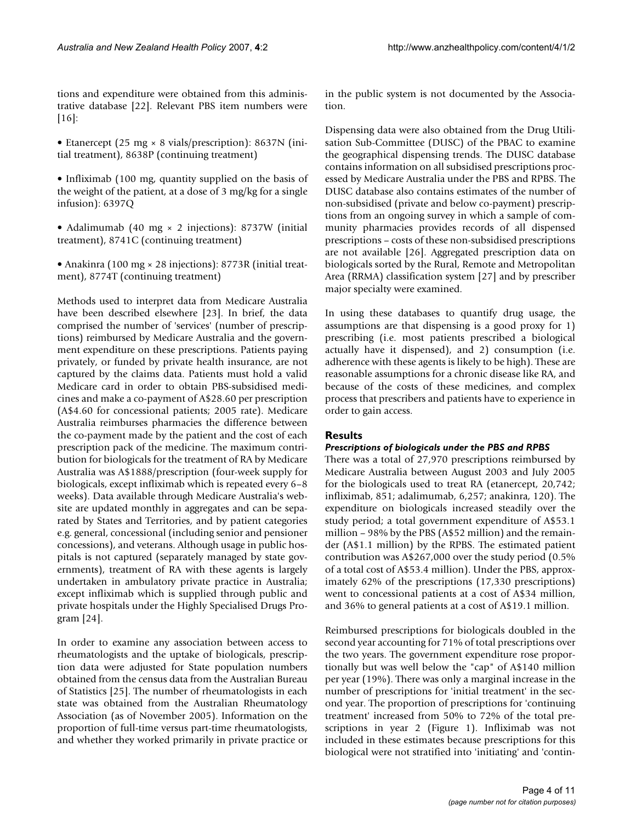tions and expenditure were obtained from this administrative database [22]. Relevant PBS item numbers were [16]:

- Etanercept (25 mg × 8 vials/prescription): 8637N (initial treatment), 8638P (continuing treatment)
- Infliximab (100 mg, quantity supplied on the basis of the weight of the patient, at a dose of 3 mg/kg for a single infusion): 6397Q
- Adalimumab (40 mg × 2 injections): 8737W (initial treatment), 8741C (continuing treatment)
- Anakinra (100 mg × 28 injections): 8773R (initial treatment), 8774T (continuing treatment)

Methods used to interpret data from Medicare Australia have been described elsewhere [23]. In brief, the data comprised the number of 'services' (number of prescriptions) reimbursed by Medicare Australia and the government expenditure on these prescriptions. Patients paying privately, or funded by private health insurance, are not captured by the claims data. Patients must hold a valid Medicare card in order to obtain PBS-subsidised medicines and make a co-payment of A\$28.60 per prescription (A\$4.60 for concessional patients; 2005 rate). Medicare Australia reimburses pharmacies the difference between the co-payment made by the patient and the cost of each prescription pack of the medicine. The maximum contribution for biologicals for the treatment of RA by Medicare Australia was A\$1888/prescription (four-week supply for biologicals, except infliximab which is repeated every 6–8 weeks). Data available through Medicare Australia's website are updated monthly in aggregates and can be separated by States and Territories, and by patient categories e.g. general, concessional (including senior and pensioner concessions), and veterans. Although usage in public hospitals is not captured (separately managed by state governments), treatment of RA with these agents is largely undertaken in ambulatory private practice in Australia; except infliximab which is supplied through public and private hospitals under the Highly Specialised Drugs Program [24].

In order to examine any association between access to rheumatologists and the uptake of biologicals, prescription data were adjusted for State population numbers obtained from the census data from the Australian Bureau of Statistics [25]. The number of rheumatologists in each state was obtained from the Australian Rheumatology Association (as of November 2005). Information on the proportion of full-time versus part-time rheumatologists, and whether they worked primarily in private practice or in the public system is not documented by the Association.

Dispensing data were also obtained from the Drug Utilisation Sub-Committee (DUSC) of the PBAC to examine the geographical dispensing trends. The DUSC database contains information on all subsidised prescriptions processed by Medicare Australia under the PBS and RPBS. The DUSC database also contains estimates of the number of non-subsidised (private and below co-payment) prescriptions from an ongoing survey in which a sample of community pharmacies provides records of all dispensed prescriptions – costs of these non-subsidised prescriptions are not available [26]. Aggregated prescription data on biologicals sorted by the Rural, Remote and Metropolitan Area (RRMA) classification system [27] and by prescriber major specialty were examined.

In using these databases to quantify drug usage, the assumptions are that dispensing is a good proxy for 1) prescribing (i.e. most patients prescribed a biological actually have it dispensed), and 2) consumption (i.e. adherence with these agents is likely to be high). These are reasonable assumptions for a chronic disease like RA, and because of the costs of these medicines, and complex process that prescribers and patients have to experience in order to gain access.

#### **Results**

#### *Prescriptions of biologicals under the PBS and RPBS*

There was a total of 27,970 prescriptions reimbursed by Medicare Australia between August 2003 and July 2005 for the biologicals used to treat RA (etanercept, 20,742; infliximab, 851; adalimumab, 6,257; anakinra, 120). The expenditure on biologicals increased steadily over the study period; a total government expenditure of A\$53.1 million – 98% by the PBS (A\$52 million) and the remainder (A\$1.1 million) by the RPBS. The estimated patient contribution was A\$267,000 over the study period (0.5% of a total cost of A\$53.4 million). Under the PBS, approximately 62% of the prescriptions (17,330 prescriptions) went to concessional patients at a cost of A\$34 million, and 36% to general patients at a cost of A\$19.1 million.

Reimbursed prescriptions for biologicals doubled in the second year accounting for 71% of total prescriptions over the two years. The government expenditure rose proportionally but was well below the "cap" of A\$140 million per year (19%). There was only a marginal increase in the number of prescriptions for 'initial treatment' in the second year. The proportion of prescriptions for 'continuing treatment' increased from 50% to 72% of the total prescriptions in year 2 (Figure 1). Infliximab was not included in these estimates because prescriptions for this biological were not stratified into 'initiating' and 'contin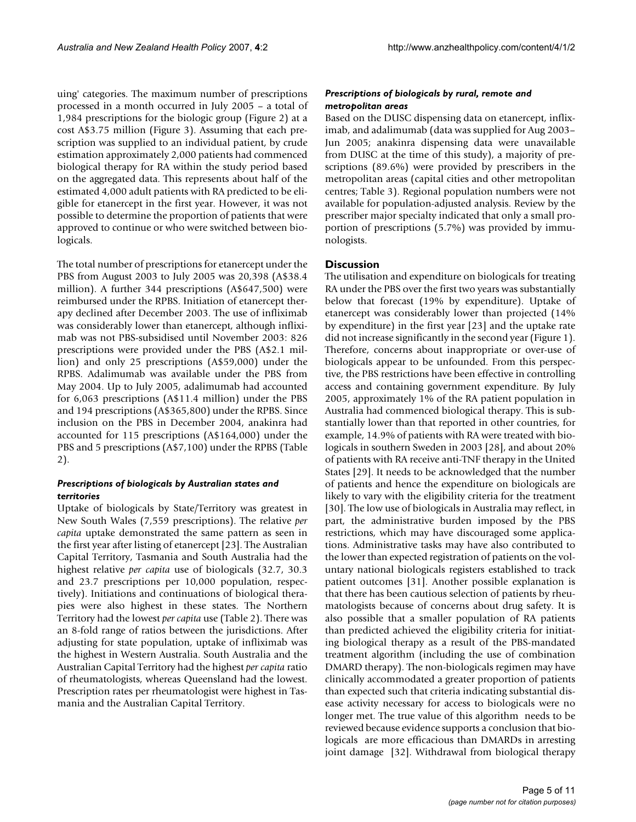uing' categories. The maximum number of prescriptions processed in a month occurred in July 2005 – a total of 1,984 prescriptions for the biologic group (Figure 2) at a cost A\$3.75 million (Figure 3). Assuming that each prescription was supplied to an individual patient, by crude estimation approximately 2,000 patients had commenced biological therapy for RA within the study period based on the aggregated data. This represents about half of the estimated 4,000 adult patients with RA predicted to be eligible for etanercept in the first year. However, it was not possible to determine the proportion of patients that were approved to continue or who were switched between biologicals.

The total number of prescriptions for etanercept under the PBS from August 2003 to July 2005 was 20,398 (A\$38.4 million). A further 344 prescriptions (A\$647,500) were reimbursed under the RPBS. Initiation of etanercept therapy declined after December 2003. The use of infliximab was considerably lower than etanercept, although infliximab was not PBS-subsidised until November 2003: 826 prescriptions were provided under the PBS (A\$2.1 million) and only 25 prescriptions (A\$59,000) under the RPBS. Adalimumab was available under the PBS from May 2004. Up to July 2005, adalimumab had accounted for 6,063 prescriptions (A\$11.4 million) under the PBS and 194 prescriptions (A\$365,800) under the RPBS. Since inclusion on the PBS in December 2004, anakinra had accounted for 115 prescriptions (A\$164,000) under the PBS and 5 prescriptions (A\$7,100) under the RPBS (Table 2).

#### *Prescriptions of biologicals by Australian states and territories*

Uptake of biologicals by State/Territory was greatest in New South Wales (7,559 prescriptions). The relative *per capita* uptake demonstrated the same pattern as seen in the first year after listing of etanercept [23]. The Australian Capital Territory, Tasmania and South Australia had the highest relative *per capita* use of biologicals (32.7, 30.3 and 23.7 prescriptions per 10,000 population, respectively). Initiations and continuations of biological therapies were also highest in these states. The Northern Territory had the lowest *per capita* use (Table 2). There was an 8-fold range of ratios between the jurisdictions. After adjusting for state population, uptake of infliximab was the highest in Western Australia. South Australia and the Australian Capital Territory had the highest *per capita* ratio of rheumatologists, whereas Queensland had the lowest. Prescription rates per rheumatologist were highest in Tasmania and the Australian Capital Territory.

### *Prescriptions of biologicals by rural, remote and metropolitan areas*

Based on the DUSC dispensing data on etanercept, infliximab, and adalimumab (data was supplied for Aug 2003– Jun 2005; anakinra dispensing data were unavailable from DUSC at the time of this study), a majority of prescriptions (89.6%) were provided by prescribers in the metropolitan areas (capital cities and other metropolitan centres; Table 3). Regional population numbers were not available for population-adjusted analysis. Review by the prescriber major specialty indicated that only a small proportion of prescriptions (5.7%) was provided by immunologists.

#### **Discussion**

The utilisation and expenditure on biologicals for treating RA under the PBS over the first two years was substantially below that forecast (19% by expenditure). Uptake of etanercept was considerably lower than projected (14% by expenditure) in the first year [23] and the uptake rate did not increase significantly in the second year (Figure 1). Therefore, concerns about inappropriate or over-use of biologicals appear to be unfounded. From this perspective, the PBS restrictions have been effective in controlling access and containing government expenditure. By July 2005, approximately 1% of the RA patient population in Australia had commenced biological therapy. This is substantially lower than that reported in other countries, for example, 14.9% of patients with RA were treated with biologicals in southern Sweden in 2003 [28], and about 20% of patients with RA receive anti-TNF therapy in the United States [29]. It needs to be acknowledged that the number of patients and hence the expenditure on biologicals are likely to vary with the eligibility criteria for the treatment [30]. The low use of biologicals in Australia may reflect, in part, the administrative burden imposed by the PBS restrictions, which may have discouraged some applications. Administrative tasks may have also contributed to the lower than expected registration of patients on the voluntary national biologicals registers established to track patient outcomes [31]. Another possible explanation is that there has been cautious selection of patients by rheumatologists because of concerns about drug safety. It is also possible that a smaller population of RA patients than predicted achieved the eligibility criteria for initiating biological therapy as a result of the PBS-mandated treatment algorithm (including the use of combination DMARD therapy). The non-biologicals regimen may have clinically accommodated a greater proportion of patients than expected such that criteria indicating substantial disease activity necessary for access to biologicals were no longer met. The true value of this algorithm needs to be reviewed because evidence supports a conclusion that biologicals are more efficacious than DMARDs in arresting joint damage [32]. Withdrawal from biological therapy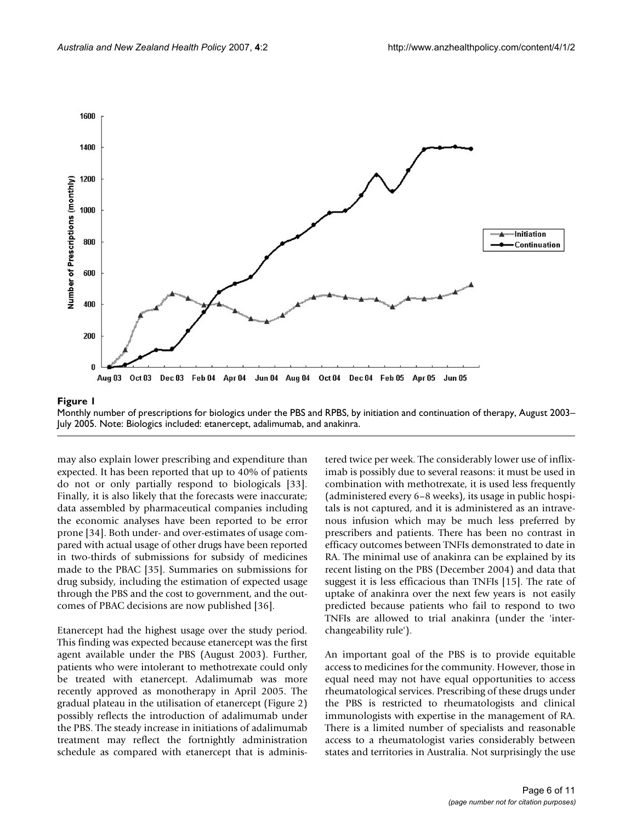

Monthly number of prescriptions for biologics under the PBS and RPBS, by initiation and continuation of therapy, August 2003– July 2005. Note: Biologics included: etanercept, adalimumab, and anakinra.

may also explain lower prescribing and expenditure than expected. It has been reported that up to 40% of patients do not or only partially respond to biologicals [33]. Finally, it is also likely that the forecasts were inaccurate; data assembled by pharmaceutical companies including the economic analyses have been reported to be error prone [34]. Both under- and over-estimates of usage compared with actual usage of other drugs have been reported in two-thirds of submissions for subsidy of medicines made to the PBAC [35]. Summaries on submissions for drug subsidy, including the estimation of expected usage through the PBS and the cost to government, and the outcomes of PBAC decisions are now published [36].

Etanercept had the highest usage over the study period. This finding was expected because etanercept was the first agent available under the PBS (August 2003). Further, patients who were intolerant to methotrexate could only be treated with etanercept. Adalimumab was more recently approved as monotherapy in April 2005. The gradual plateau in the utilisation of etanercept (Figure 2) possibly reflects the introduction of adalimumab under the PBS. The steady increase in initiations of adalimumab treatment may reflect the fortnightly administration schedule as compared with etanercept that is administered twice per week. The considerably lower use of infliximab is possibly due to several reasons: it must be used in combination with methotrexate, it is used less frequently (administered every 6–8 weeks), its usage in public hospitals is not captured, and it is administered as an intravenous infusion which may be much less preferred by prescribers and patients. There has been no contrast in efficacy outcomes between TNFIs demonstrated to date in RA. The minimal use of anakinra can be explained by its recent listing on the PBS (December 2004) and data that suggest it is less efficacious than TNFIs [15]. The rate of uptake of anakinra over the next few years is not easily predicted because patients who fail to respond to two TNFIs are allowed to trial anakinra (under the 'interchangeability rule').

An important goal of the PBS is to provide equitable access to medicines for the community. However, those in equal need may not have equal opportunities to access rheumatological services. Prescribing of these drugs under the PBS is restricted to rheumatologists and clinical immunologists with expertise in the management of RA. There is a limited number of specialists and reasonable access to a rheumatologist varies considerably between states and territories in Australia. Not surprisingly the use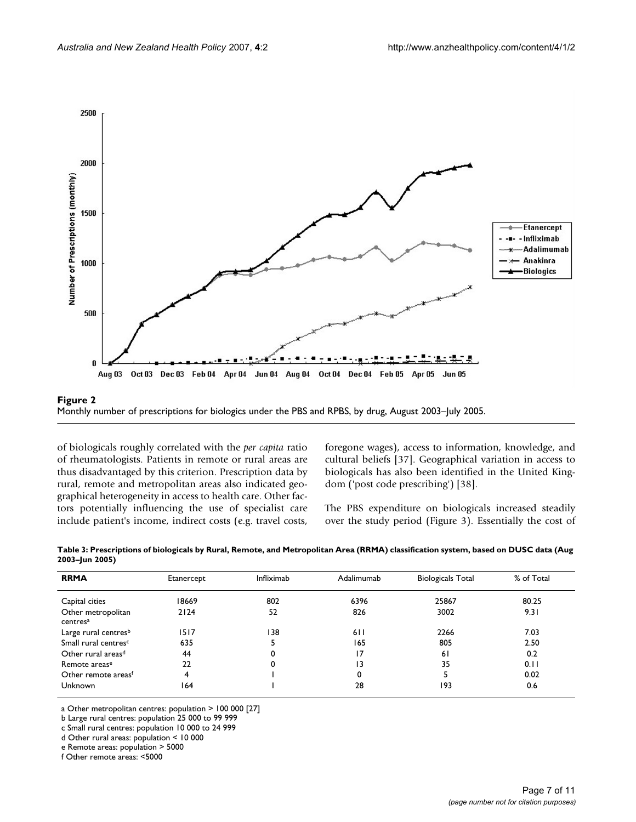

Monthly number of prescriptions for biologics under **Figure 2** the PBS and RPBS, by drug, August 2003–July 2005 Monthly number of prescriptions for biologics under the PBS and RPBS, by drug, August 2003–July 2005.

of biologicals roughly correlated with the *per capita* ratio of rheumatologists. Patients in remote or rural areas are thus disadvantaged by this criterion. Prescription data by rural, remote and metropolitan areas also indicated geographical heterogeneity in access to health care. Other factors potentially influencing the use of specialist care include patient's income, indirect costs (e.g. travel costs,

foregone wages), access to information, knowledge, and cultural beliefs [37]. Geographical variation in access to biologicals has also been identified in the United Kingdom ('post code prescribing') [38].

The PBS expenditure on biologicals increased steadily over the study period (Figure 3). Essentially the cost of

| <b>RRMA</b>                                | Etanercept | Infliximab | Adalimumab | <b>Biologicals Total</b> | % of Total |  |  |
|--------------------------------------------|------------|------------|------------|--------------------------|------------|--|--|
| Capital cities                             | 18669      | 802        | 6396       | 25867                    | 80.25      |  |  |
| Other metropolitan<br>centres <sup>a</sup> | 2124       | 52         | 826        | 3002                     | 9.31       |  |  |
| Large rural centres <sup>b</sup>           | 1517       | 138        | 611        | 2266                     | 7.03       |  |  |
| Small rural centres <sup>c</sup>           | 635        |            | 165        | 805                      | 2.50       |  |  |
| Other rural areas <sup>d</sup>             | 44         | 0          | 17         | 61                       | 0.2        |  |  |
| Remote areas <sup>e</sup>                  | 22         | 0          | 13         | 35                       | 0.11       |  |  |
| Other remote areas <sup>f</sup>            | 4          |            | 0          |                          | 0.02       |  |  |
| <b>Unknown</b>                             | 164        |            | 28         | 193                      | 0.6        |  |  |

**Table 3: Prescriptions of biologicals by Rural, Remote, and Metropolitan Area (RRMA) classification system, based on DUSC data (Aug 2003–Jun 2005)**

a Other metropolitan centres: population > 100 000 [27]

b Large rural centres: population 25 000 to 99 999

c Small rural centres: population 10 000 to 24 999

d Other rural areas: population < 10 000

f Other remote areas: <5000

e Remote areas: population > 5000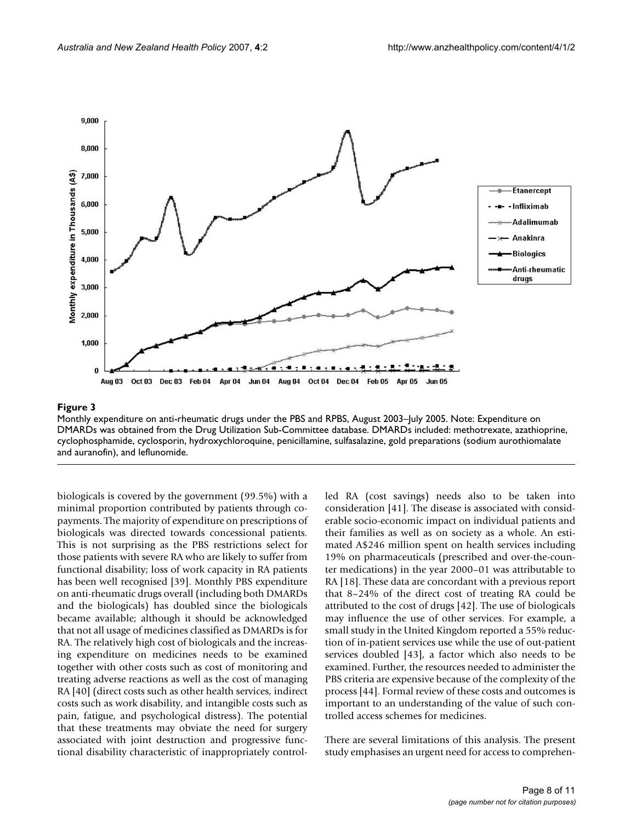

#### Monthly expenditure on anti-rheumatic drug **Figure 3** s under the PBS and RPBS, August 2003–July 2005

Monthly expenditure on anti-rheumatic drugs under the PBS and RPBS, August 2003–July 2005. Note: Expenditure on DMARDs was obtained from the Drug Utilization Sub-Committee database. DMARDs included: methotrexate, azathioprine, cyclophosphamide, cyclosporin, hydroxychloroquine, penicillamine, sulfasalazine, gold preparations (sodium aurothiomalate and auranofin), and leflunomide.

biologicals is covered by the government (99.5%) with a minimal proportion contributed by patients through copayments. The majority of expenditure on prescriptions of biologicals was directed towards concessional patients. This is not surprising as the PBS restrictions select for those patients with severe RA who are likely to suffer from functional disability; loss of work capacity in RA patients has been well recognised [39]. Monthly PBS expenditure on anti-rheumatic drugs overall (including both DMARDs and the biologicals) has doubled since the biologicals became available; although it should be acknowledged that not all usage of medicines classified as DMARDs is for RA. The relatively high cost of biologicals and the increasing expenditure on medicines needs to be examined together with other costs such as cost of monitoring and treating adverse reactions as well as the cost of managing RA [40] (direct costs such as other health services, indirect costs such as work disability, and intangible costs such as pain, fatigue, and psychological distress). The potential that these treatments may obviate the need for surgery associated with joint destruction and progressive functional disability characteristic of inappropriately controlled RA (cost savings) needs also to be taken into consideration [41]. The disease is associated with considerable socio-economic impact on individual patients and their families as well as on society as a whole. An estimated A\$246 million spent on health services including 19% on pharmaceuticals (prescribed and over-the-counter medications) in the year 2000–01 was attributable to RA [18]. These data are concordant with a previous report that 8–24% of the direct cost of treating RA could be attributed to the cost of drugs [42]. The use of biologicals may influence the use of other services. For example, a small study in the United Kingdom reported a 55% reduction of in-patient services use while the use of out-patient services doubled [43], a factor which also needs to be examined. Further, the resources needed to administer the PBS criteria are expensive because of the complexity of the process [44]. Formal review of these costs and outcomes is important to an understanding of the value of such controlled access schemes for medicines.

There are several limitations of this analysis. The present study emphasises an urgent need for access to comprehen-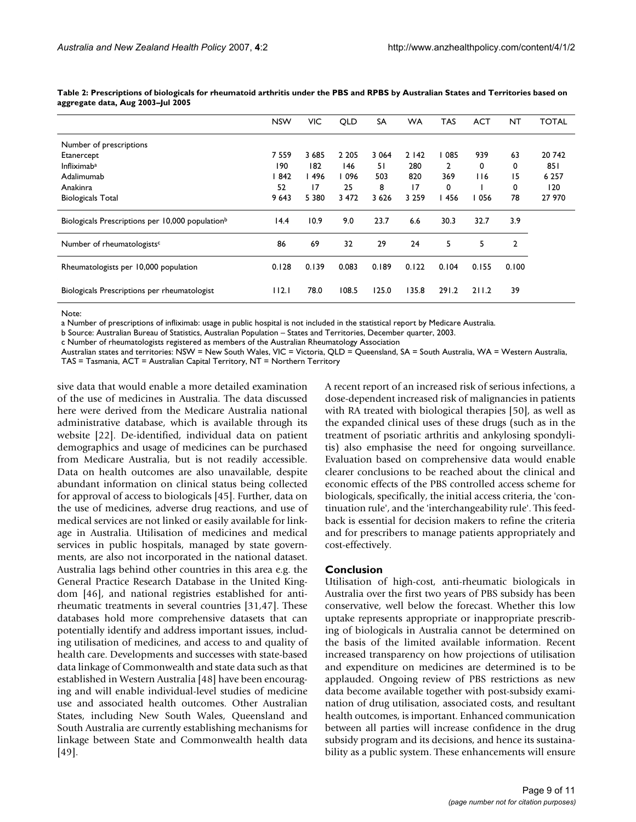|                                                              | <b>NSW</b> | VIC.    | QLD     | <b>SA</b> | <b>WA</b> | <b>TAS</b> | <b>ACT</b> | <b>NT</b> | <b>TOTAL</b> |
|--------------------------------------------------------------|------------|---------|---------|-----------|-----------|------------|------------|-----------|--------------|
| Number of prescriptions                                      |            |         |         |           |           |            |            |           |              |
| Etanercept                                                   | 7 5 5 9    | 3685    | 2 2 0 5 | 3 0 6 4   | 2142      | 085        | 939        | 63        | 20742        |
| Infliximab <sup>a</sup>                                      | 190        | 182     | 146     | 51        | 280       | 2          | 0          | 0         | 851          |
| Adalimumab                                                   | 842        | 496     | 096     | 503       | 820       | 369        | 116        | 15        | 6 2 5 7      |
| Anakinra                                                     | 52         | 17      | 25      | 8         | 17        | 0          |            | 0         | 120          |
| <b>Biologicals Total</b>                                     | 9 6 4 3    | 5 3 8 0 | 3 4 7 2 | 3626      | 3 2 5 9   | 456        | 056        | 78        | 27 970       |
| Biologicals Prescriptions per 10,000 population <sup>b</sup> | 14.4       | 10.9    | 9.0     | 23.7      | 6.6       | 30.3       | 32.7       | 3.9       |              |
| Number of rheumatologists <sup>c</sup>                       | 86         | 69      | 32      | 29        | 24        | 5          | 5          | 2         |              |
| Rheumatologists per 10,000 population                        | 0.128      | 0.139   | 0.083   | 0.189     | 0.122     | 0.104      | 0.155      | 0.100     |              |
| Biologicals Prescriptions per rheumatologist                 | 112.1      | 78.0    | 108.5   | 125.0     | 135.8     | 291.2      | 211.2      | 39        |              |

**Table 2: Prescriptions of biologicals for rheumatoid arthritis under the PBS and RPBS by Australian States and Territories based on aggregate data, Aug 2003–Jul 2005**

Note:

a Number of prescriptions of infliximab: usage in public hospital is not included in the statistical report by Medicare Australia.

b Source: Australian Bureau of Statistics, Australian Population – States and Territories, December quarter, 2003.

c Number of rheumatologists registered as members of the Australian Rheumatology Association

Australian states and territories: NSW = New South Wales, VIC = Victoria, QLD = Queensland, SA = South Australia, WA = Western Australia,

TAS = Tasmania, ACT = Australian Capital Territory, NT = Northern Territory

sive data that would enable a more detailed examination of the use of medicines in Australia. The data discussed here were derived from the Medicare Australia national administrative database, which is available through its website [22]. De-identified, individual data on patient demographics and usage of medicines can be purchased from Medicare Australia, but is not readily accessible. Data on health outcomes are also unavailable, despite abundant information on clinical status being collected for approval of access to biologicals [45]. Further, data on the use of medicines, adverse drug reactions, and use of medical services are not linked or easily available for linkage in Australia. Utilisation of medicines and medical services in public hospitals, managed by state governments, are also not incorporated in the national dataset. Australia lags behind other countries in this area e.g. the General Practice Research Database in the United Kingdom [46], and national registries established for antirheumatic treatments in several countries [31,47]. These databases hold more comprehensive datasets that can potentially identify and address important issues, including utilisation of medicines, and access to and quality of health care. Developments and successes with state-based data linkage of Commonwealth and state data such as that established in Western Australia [48] have been encouraging and will enable individual-level studies of medicine use and associated health outcomes. Other Australian States, including New South Wales, Queensland and South Australia are currently establishing mechanisms for linkage between State and Commonwealth health data [49].

A recent report of an increased risk of serious infections, a dose-dependent increased risk of malignancies in patients with RA treated with biological therapies [50], as well as the expanded clinical uses of these drugs (such as in the treatment of psoriatic arthritis and ankylosing spondylitis) also emphasise the need for ongoing surveillance. Evaluation based on comprehensive data would enable clearer conclusions to be reached about the clinical and economic effects of the PBS controlled access scheme for biologicals, specifically, the initial access criteria, the 'continuation rule', and the 'interchangeability rule'. This feedback is essential for decision makers to refine the criteria and for prescribers to manage patients appropriately and cost-effectively.

#### **Conclusion**

Utilisation of high-cost, anti-rheumatic biologicals in Australia over the first two years of PBS subsidy has been conservative, well below the forecast. Whether this low uptake represents appropriate or inappropriate prescribing of biologicals in Australia cannot be determined on the basis of the limited available information. Recent increased transparency on how projections of utilisation and expenditure on medicines are determined is to be applauded. Ongoing review of PBS restrictions as new data become available together with post-subsidy examination of drug utilisation, associated costs, and resultant health outcomes, is important. Enhanced communication between all parties will increase confidence in the drug subsidy program and its decisions, and hence its sustainability as a public system. These enhancements will ensure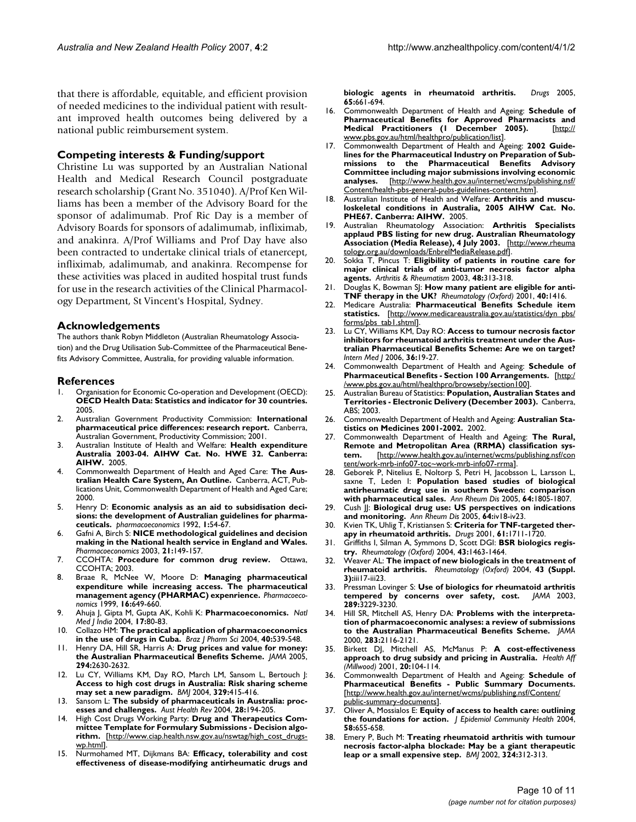that there is affordable, equitable, and efficient provision of needed medicines to the individual patient with resultant improved health outcomes being delivered by a national public reimbursement system.

#### **Competing interests & Funding/support**

Christine Lu was supported by an Australian National Health and Medical Research Council postgraduate research scholarship (Grant No. 351040). A/Prof Ken Williams has been a member of the Advisory Board for the sponsor of adalimumab. Prof Ric Day is a member of Advisory Boards for sponsors of adalimumab, infliximab, and anakinra. A/Prof Williams and Prof Day have also been contracted to undertake clinical trials of etanercept, infliximab, adalimumab, and anakinra. Recompense for these activities was placed in audited hospital trust funds for use in the research activities of the Clinical Pharmacology Department, St Vincent's Hospital, Sydney.

#### **Acknowledgements**

The authors thank Robyn Middleton (Australian Rheumatology Association) and the Drug Utilisation Sub-Committee of the Pharmaceutical Benefits Advisory Committee, Australia, for providing valuable information.

#### **References**

- Organisation for Economic Co-operation and Development (OECD): **OECD Health Data: Statistics and indicator for 30 countries.** 2005.
- 2. Australian Government Productivity Commission: **International pharmaceutical price differences: research report.** Canberra, Australian Government, Productivity Commission; 2001.
- 3. Australian Institute of Health and Welfare: **Health expenditure Australia 2003-04. AIHW Cat. No. HWE 32. Canberra: AIHW.** 2005.
- 4. Commonwealth Department of Health and Aged Care: **The Australian Health Care System, An Outline.** Canberra, ACT, Publications Unit, Commonwealth Department of Health and Aged Care; 2000.
- 5. Henry D: **[Economic analysis as an aid to subsidisation deci](http://www.ncbi.nlm.nih.gov/entrez/query.fcgi?cmd=Retrieve&db=PubMed&dopt=Abstract&list_uids=10147039)[sions: the development of Australian guidelines for pharma](http://www.ncbi.nlm.nih.gov/entrez/query.fcgi?cmd=Retrieve&db=PubMed&dopt=Abstract&list_uids=10147039)[ceuticals.](http://www.ncbi.nlm.nih.gov/entrez/query.fcgi?cmd=Retrieve&db=PubMed&dopt=Abstract&list_uids=10147039)** *pharmacoeconomics* 1992, **1:**54-67.
- 6. Gafni A, Birch S: **[NICE methodological guidelines and decision](http://www.ncbi.nlm.nih.gov/entrez/query.fcgi?cmd=Retrieve&db=PubMed&dopt=Abstract&list_uids=12558466) [making in the National health service in England and Wales.](http://www.ncbi.nlm.nih.gov/entrez/query.fcgi?cmd=Retrieve&db=PubMed&dopt=Abstract&list_uids=12558466)** *Pharmacoeconomics* 2003, **21:**149-157.
- 7. CCOHTA: **Procedure for common drug review.** Ottawa, CCOHTA; 2003.
- 8. Braae R, McNee W, Moore D: **[Managing pharmaceutical](http://www.ncbi.nlm.nih.gov/entrez/query.fcgi?cmd=Retrieve&db=PubMed&dopt=Abstract&list_uids=10724792) [expenditure while increasing access. The pharmaceutical](http://www.ncbi.nlm.nih.gov/entrez/query.fcgi?cmd=Retrieve&db=PubMed&dopt=Abstract&list_uids=10724792) [management agency \(PHARMAC\) expenrience.](http://www.ncbi.nlm.nih.gov/entrez/query.fcgi?cmd=Retrieve&db=PubMed&dopt=Abstract&list_uids=10724792)** *Pharmacoeconomics* 1999, **16:**649-660.
- 9. Ahuja J, Gipta M, Gupta AK, Kohli K: **[Pharmacoeconomics.](http://www.ncbi.nlm.nih.gov/entrez/query.fcgi?cmd=Retrieve&db=PubMed&dopt=Abstract&list_uids=15141600)** *Natl Med J India* 2004, **17:**80-83.
- 10. Collazo HM: **The practical application of pharmacoeconomics in the use of drugs in Cuba.** *Braz J Pharm Sci* 2004, **40:**539-548.
- 11. Henry DA, Hill SR, Harris A: **[Drug prices and value for money:](http://www.ncbi.nlm.nih.gov/entrez/query.fcgi?cmd=Retrieve&db=PubMed&dopt=Abstract&list_uids=16304078) [the Australian Pharmaceutical Benefits Scheme.](http://www.ncbi.nlm.nih.gov/entrez/query.fcgi?cmd=Retrieve&db=PubMed&dopt=Abstract&list_uids=16304078)** *JAMA* 2005, **294:**2630-2632.
- 12. Lu CY, Williams KM, Day RO, March LM, Sansom L, Bertouch J: **[Access to high cost drugs in Australia: Risk sharing scheme](http://www.ncbi.nlm.nih.gov/entrez/query.fcgi?cmd=Retrieve&db=PubMed&dopt=Abstract&list_uids=15321884) [may set a new paradigm.](http://www.ncbi.nlm.nih.gov/entrez/query.fcgi?cmd=Retrieve&db=PubMed&dopt=Abstract&list_uids=15321884)** *BMJ* 2004, **329:**415-416.
- 13. Sansom L: **[The subsidy of pharmaceuticals in Australia: proc](http://www.ncbi.nlm.nih.gov/entrez/query.fcgi?cmd=Retrieve&db=PubMed&dopt=Abstract&list_uids=15527399)[esses and challenges.](http://www.ncbi.nlm.nih.gov/entrez/query.fcgi?cmd=Retrieve&db=PubMed&dopt=Abstract&list_uids=15527399)** *Aust Health Rev* 2004, **28:**194-205.
- 14. High Cost Drugs Working Party: **Drug and Therapeutics Committee Template for Formulary Submissions - Decision algorithm.** [[http://www.ciap.health.nsw.gov.au/nswtag/high\\_cost\\_drugs](http://www.ciap.health.nsw.gov.au/nswtag/high_cost_drugs-wp.html)[wp.html](http://www.ciap.health.nsw.gov.au/nswtag/high_cost_drugs-wp.html)].
- 15. Nurmohamed MT, Dijkmans BA: **[Efficacy, tolerability and cost](http://www.ncbi.nlm.nih.gov/entrez/query.fcgi?cmd=Retrieve&db=PubMed&dopt=Abstract&list_uids=15748099) [effectiveness of disease-modifying antirheumatic drugs and](http://www.ncbi.nlm.nih.gov/entrez/query.fcgi?cmd=Retrieve&db=PubMed&dopt=Abstract&list_uids=15748099)**

**[biologic agents in rheumatoid arthritis.](http://www.ncbi.nlm.nih.gov/entrez/query.fcgi?cmd=Retrieve&db=PubMed&dopt=Abstract&list_uids=15748099)** *Drugs* 2005, **65:**661-694.

- 16. Commonwealth Department of Health and Ageing: **Schedule of Pharmaceutical Benefits for Approved Pharmacists and Medical Practitioners (1 December 2005).** [\[http://](http://www.pbs.gov.au/html/healthpro/publication/list) [www.pbs.gov.au/html/healthpro/publication/list\]](http://www.pbs.gov.au/html/healthpro/publication/list).
- 17. Commonwealth Department of Health and Ageing: **2002 Guidelines for the Pharmaceutical Industry on Preparation of Submissions to the Pharmaceutical Benefits Advisory Committee including major submissions involving economic<br>analyses.** [http://www.health.gov.au/internet/wcms/publishing.nsf/ **analyses.** [[http://www.health.gov.au/internet/wcms/publishing.nsf/](http://www.health.gov.au/internet/wcms/publishing.nsf/Content/health-pbs-general-pubs-guidelines-content.htm) [Content/health-pbs-general-pubs-guidelines-content.htm\]](http://www.health.gov.au/internet/wcms/publishing.nsf/Content/health-pbs-general-pubs-guidelines-content.htm).
- 18. Australian Institute of Health and Welfare: **Arthritis and musculoskeletal conditions in Australia, 2005 AIHW Cat. No. PHE67. Canberra: AIHW.** 2005.
- 19. Australian Rheumatology Association: **Arthritis Specialists applaud PBS listing for new drug. Australian Rheumatology Association (Media Release), 4 July 2003.** [[http://www.rheuma](http://www.rheumatology.org.au/downloads/EnbrelMediaRelease.pdf) [tology.org.au/downloads/EnbrelMediaRelease.pdf](http://www.rheumatology.org.au/downloads/EnbrelMediaRelease.pdf)].
- 20. Sokka T, Pincus T: **Eligibility of patients in routine care for major clinical trials of anti-tumor necrosis factor alpha agents.** *Arthritis & Rheumatism* 2003, **48:**313-318.
- 21. Douglas K, Bowman SJ: **[How many patient are eligible for anti-](http://www.ncbi.nlm.nih.gov/entrez/query.fcgi?cmd=Retrieve&db=PubMed&dopt=Abstract&list_uids=11752515)[TNF therapy in the UK?](http://www.ncbi.nlm.nih.gov/entrez/query.fcgi?cmd=Retrieve&db=PubMed&dopt=Abstract&list_uids=11752515)** *Rheumatology (Oxford)* 2001, **40:**1416.
- 22. Medicare Australia: **Pharmaceutical Benefits Schedule item statistics.** [[http://www.medicareaustralia.gov.au/statistics/dyn\\_pbs/](http://www.medicareaustralia.gov.au/statistics/dyn_pbs/forms/pbs_tab1.shtml) [forms/pbs\\_tab1.shtml\]](http://www.medicareaustralia.gov.au/statistics/dyn_pbs/forms/pbs_tab1.shtml).
- 23. Lu CY, Williams KM, Day RO: **[Access to tumour necrosis factor](http://www.ncbi.nlm.nih.gov/entrez/query.fcgi?cmd=Retrieve&db=PubMed&dopt=Abstract&list_uids=16409309) inhibitors for rheumatoid arthritis treatment under the Aus[tralian Pharmaceutical Benefits Scheme: Are we on target?](http://www.ncbi.nlm.nih.gov/entrez/query.fcgi?cmd=Retrieve&db=PubMed&dopt=Abstract&list_uids=16409309)** *Intern Med J* 2006, **36:**19-27.
- 24. Commonwealth Department of Health and Ageing: **Schedule of Pharmaceutical Benefits - Section 100 Arrangements.** [[http:/](http://www.pbs.gov.au/html/healthpro/browseby/section100) [/www.pbs.gov.au/html/healthpro/browseby/section100](http://www.pbs.gov.au/html/healthpro/browseby/section100)].
- 25. Australian Bureau of Statistics: **Population, Australian States and Territories - Electronic Delivery (December 2003).** Canberra, ABS; 2003.
- 26. Commonwealth Department of Health and Ageing: **Australian Statistics on Medicines 2001-2002.** 2002.
- 27. Commonwealth Department of Health and Ageing: **The Rural, Remote and Metropolitan Area (RRMA) classification system.** [[http://www.health.gov.au/internet/wcms/publishing.nsf/con](http://www.health.gov.au/internet/wcms/publishing.nsf/content/work-mrb-info07-toc~work-mrb-info07-rrma) [tent/work-mrb-info07-toc~work-mrb-info07-rrma](http://www.health.gov.au/internet/wcms/publishing.nsf/content/work-mrb-info07-toc~work-mrb-info07-rrma)].
- 28. Geborek P, Nitelius E, Noltorp S, Petri H, Jacobsson L, Larsson L, saxne T, Leden I: **[Population based studies of biological](http://www.ncbi.nlm.nih.gov/entrez/query.fcgi?cmd=Retrieve&db=PubMed&dopt=Abstract&list_uids=16284356) [antirheumatic drug use in southern Sweden: comparison](http://www.ncbi.nlm.nih.gov/entrez/query.fcgi?cmd=Retrieve&db=PubMed&dopt=Abstract&list_uids=16284356) [with pharmaceutical sales.](http://www.ncbi.nlm.nih.gov/entrez/query.fcgi?cmd=Retrieve&db=PubMed&dopt=Abstract&list_uids=16284356)** *Ann Rheum Dis* 2005, **64:**1805-1807.
- 29. Cush JJ: **[Biological drug use: US perspectives on indications](http://www.ncbi.nlm.nih.gov/entrez/query.fcgi?cmd=Retrieve&db=PubMed&dopt=Abstract&list_uids=16239379) [and monitoring.](http://www.ncbi.nlm.nih.gov/entrez/query.fcgi?cmd=Retrieve&db=PubMed&dopt=Abstract&list_uids=16239379)** *Ann Rheum Dis* 2005, **64:**iv18-iv23.
- 30. Kvien TK, Uhlig T, Kristiansen S: **[Criteria for TNF-targeted ther](http://www.ncbi.nlm.nih.gov/entrez/query.fcgi?cmd=Retrieve&db=PubMed&dopt=Abstract&list_uids=11693461)[apy in rheumatoid arthritis.](http://www.ncbi.nlm.nih.gov/entrez/query.fcgi?cmd=Retrieve&db=PubMed&dopt=Abstract&list_uids=11693461)** *Drugs* 2001, **61:**1711-1720.
- 31. Griffiths I, Silman A, Symmons D, Scott DGI: **[BSR biologics regis](http://www.ncbi.nlm.nih.gov/entrez/query.fcgi?cmd=Retrieve&db=PubMed&dopt=Abstract&list_uids=15328420)[try.](http://www.ncbi.nlm.nih.gov/entrez/query.fcgi?cmd=Retrieve&db=PubMed&dopt=Abstract&list_uids=15328420)** *Rheumatology (Oxford)* 2004, **43:**1463-1464.
- 32. Weaver AL: **[The impact of new biologicals in the treatment of](http://www.ncbi.nlm.nih.gov/entrez/query.fcgi?cmd=Retrieve&db=PubMed&dopt=Abstract&list_uids=15150428) [rheumatoid arthritis.](http://www.ncbi.nlm.nih.gov/entrez/query.fcgi?cmd=Retrieve&db=PubMed&dopt=Abstract&list_uids=15150428)** *Rheumatology (Oxford)* 2004, **43 (Suppl. 3):**iii17-iii23.
- 33. Pressman Lovinger S: **[Use of biologics for rheumatoid arthritis](http://www.ncbi.nlm.nih.gov/entrez/query.fcgi?cmd=Retrieve&db=PubMed&dopt=Abstract&list_uids=12824197) [tempered by concerns over safety, cost.](http://www.ncbi.nlm.nih.gov/entrez/query.fcgi?cmd=Retrieve&db=PubMed&dopt=Abstract&list_uids=12824197)** *JAMA* 2003, **289:**3229-3230.
- 34. Hill SR, Mitchell AS, Henry DA: **[Problems with the interpreta](http://www.ncbi.nlm.nih.gov/entrez/query.fcgi?cmd=Retrieve&db=PubMed&dopt=Abstract&list_uids=10791503)[tion of pharmacoeconomic analyses: a review of submissions](http://www.ncbi.nlm.nih.gov/entrez/query.fcgi?cmd=Retrieve&db=PubMed&dopt=Abstract&list_uids=10791503) [to the Australian Pharmaceutical Benefits Scheme.](http://www.ncbi.nlm.nih.gov/entrez/query.fcgi?cmd=Retrieve&db=PubMed&dopt=Abstract&list_uids=10791503)** *JAMA* 2000, **283:**2116-2121.
- 35. Birkett DJ, Mitchell AS, McManus P: **[A cost-effectiveness](http://www.ncbi.nlm.nih.gov/entrez/query.fcgi?cmd=Retrieve&db=PubMed&dopt=Abstract&list_uids=11585158) [approach to drug subsidy and pricing in Australia.](http://www.ncbi.nlm.nih.gov/entrez/query.fcgi?cmd=Retrieve&db=PubMed&dopt=Abstract&list_uids=11585158)** *Health Aff (Millwood)* 2001, **20:**104-114.
- 36. Commonwealth Department of Health and Ageing: **Schedule of Pharmaceutical Benefits - Public Summary Documents.** [[http://www.health.gov.au/internet/wcms/publishing.nsf/Content/](http://www.health.gov.au/internet/wcms/publishing.nsf/Content/public-summary-documents) [public-summary-documents](http://www.health.gov.au/internet/wcms/publishing.nsf/Content/public-summary-documents)].
- 37. Oliver A, Mossialos E: **[Equity of access to health care: outlining](http://www.ncbi.nlm.nih.gov/entrez/query.fcgi?cmd=Retrieve&db=PubMed&dopt=Abstract&list_uids=15252067) [the foundations for action.](http://www.ncbi.nlm.nih.gov/entrez/query.fcgi?cmd=Retrieve&db=PubMed&dopt=Abstract&list_uids=15252067)** *J Epidemiol Community Health* 2004, **58:**655-658.
- 38. Emery P, Buch M: **[Treating rheumatoid arthritis with tumour](http://www.ncbi.nlm.nih.gov/entrez/query.fcgi?cmd=Retrieve&db=PubMed&dopt=Abstract&list_uids=11834544) [necrosis factor-alpha blockade: May be a giant therapeutic](http://www.ncbi.nlm.nih.gov/entrez/query.fcgi?cmd=Retrieve&db=PubMed&dopt=Abstract&list_uids=11834544) [leap or a small expensive step.](http://www.ncbi.nlm.nih.gov/entrez/query.fcgi?cmd=Retrieve&db=PubMed&dopt=Abstract&list_uids=11834544)** *BMJ* 2002, **324:**312-313.